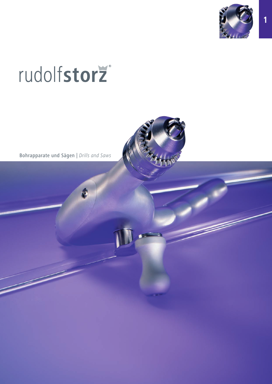

# rudolfstorž

Bohrapparate und Sägen | Drills and Saws

Ć

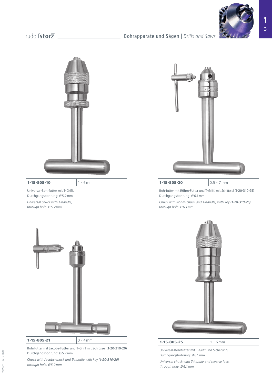## Bohrapparate und Sägen | *Drills and Saws*



### **1-15-805-10**  $1 - 6$  mm

Universal-Bohrfutter mit T-Griff, Durchgangsbohrung: Ø5.2mm *Universal chuck with T-handle, through hole: Ø5.2mm*



Bohrfutter mit Röhm-Futter und T-Griff, mit Schlüssel (1-20-310-25) Durchgangsbohrung: Ø6.1mm

*Chuck with Röhm-chuck and T-handle, with key (1-20-310-25) through hole: Ø6.1mm*



Bohrfutter mit Jacobs-Futter und T-Griff mit Schlüssel (1-20-310-20) Durchgangsbohrung: Ø5.2mm

*Chuck with Jacobs-chuck and T-handle with key (1-20-310-20) through hole: Ø5.2mm*



Universal-Bohrfutter mit T-Griff und Sicherung Durchgangsbohrung: Ø6.1mm

*Universal chuck with T-handle and reverse lock, through hole: Ø6.1mm*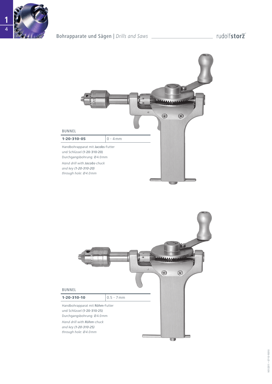

## Bohrapparate und Sägen | *Drills and Saws*



**U** 

## BUNNEL **1-20-310-10**  $0.5 - 7 \text{ mm}$ Handbohrapparat mit Röhm-Futter und Schlüssel (1-20-310-25) Durchgangsbohrung: Ø4.0mm

*Hand drill with Röhm-chuck and key (1-20-310-25) through hole: Ø4.0mm*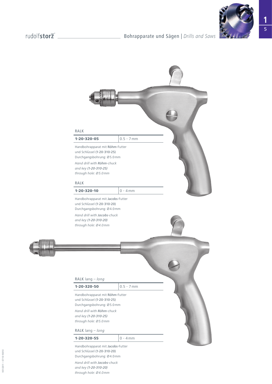





und Schlüssel (1-20-310-20) Durchgangsbohrung: Ø4.0mm

*Hand drill with Jacobs-chuck and key (1-20-310-20) through hole: Ø4.0mm*